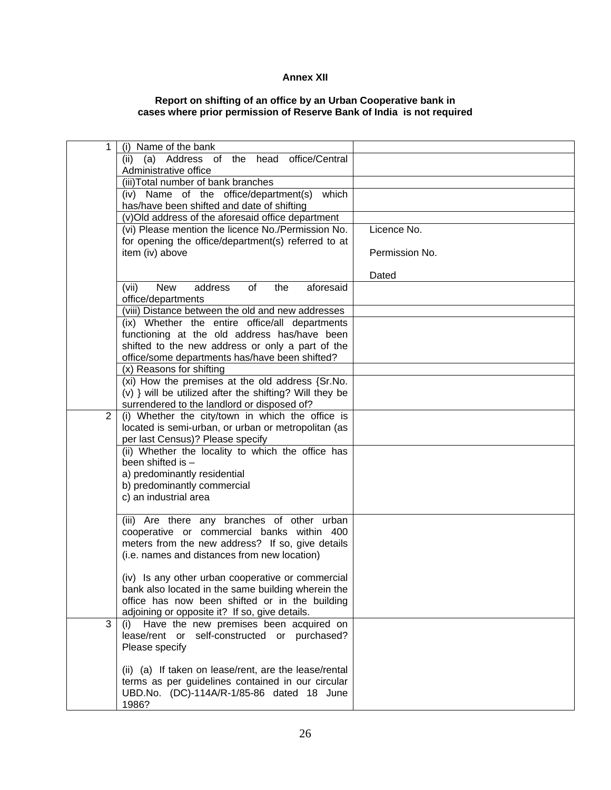## **Annex XII**

## **Report on shifting of an office by an Urban Cooperative bank in cases where prior permission of Reserve Bank of India is not required**

| 1 | (i) Name of the bank                                                       |                |
|---|----------------------------------------------------------------------------|----------------|
|   | (a) Address of the head office/Central<br>(ii)                             |                |
|   | Administrative office                                                      |                |
|   | (iii) Total number of bank branches                                        |                |
|   | which<br>(iv) Name of the office/department(s)                             |                |
|   | has/have been shifted and date of shifting                                 |                |
|   | (v)Old address of the aforesaid office department                          |                |
|   | (vi) Please mention the licence No./Permission No.                         | Licence No.    |
|   | for opening the office/department(s) referred to at                        |                |
|   | item (iv) above                                                            | Permission No. |
|   |                                                                            |                |
|   |                                                                            | Dated          |
|   | <b>New</b><br>(vii)<br>address<br>of<br>the<br>aforesaid                   |                |
|   | office/departments                                                         |                |
|   | (viii) Distance between the old and new addresses                          |                |
|   | (ix) Whether the entire office/all departments                             |                |
|   | functioning at the old address has/have been                               |                |
|   | shifted to the new address or only a part of the                           |                |
|   | office/some departments has/have been shifted?<br>(x) Reasons for shifting |                |
|   | (xi) How the premises at the old address {Sr.No.                           |                |
|   | (v) } will be utilized after the shifting? Will they be                    |                |
|   | surrendered to the landlord or disposed of?                                |                |
| 2 | (i) Whether the city/town in which the office is                           |                |
|   | located is semi-urban, or urban or metropolitan (as                        |                |
|   | per last Census)? Please specify                                           |                |
|   | (ii) Whether the locality to which the office has                          |                |
|   | been shifted is -                                                          |                |
|   | a) predominantly residential                                               |                |
|   | b) predominantly commercial                                                |                |
|   | c) an industrial area                                                      |                |
|   |                                                                            |                |
|   | (iii) Are there any branches of other urban                                |                |
|   | cooperative or commercial banks within 400                                 |                |
|   | meters from the new address? If so, give details                           |                |
|   | (i.e. names and distances from new location)                               |                |
|   | (iv) Is any other urban cooperative or commercial                          |                |
|   | bank also located in the same building wherein the                         |                |
|   | office has now been shifted or in the building                             |                |
|   | adjoining or opposite it? If so, give details.                             |                |
| 3 | (i) Have the new premises been acquired on                                 |                |
|   | lease/rent or self-constructed or purchased?                               |                |
|   | Please specify                                                             |                |
|   |                                                                            |                |
|   | (ii) (a) If taken on lease/rent, are the lease/rental                      |                |
|   | terms as per guidelines contained in our circular                          |                |
|   | UBD.No. (DC)-114A/R-1/85-86 dated 18 June                                  |                |
|   | 1986?                                                                      |                |